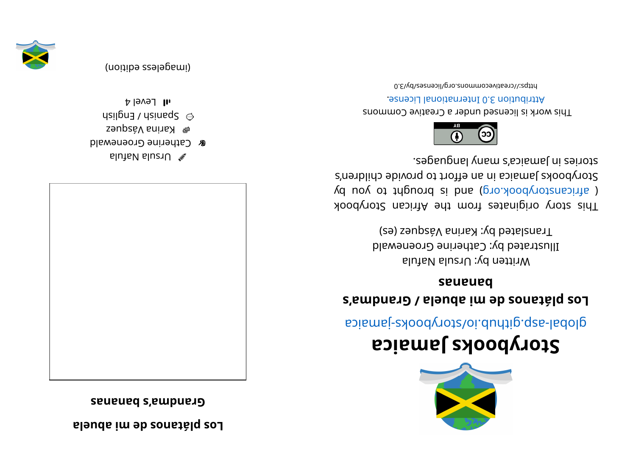**regionally conserved psolling a** 

**sananabs' a mdnar G**



alutaV sluziU  $\mathscr X$ 

- **&** Catherine Groenewald
- $\mathsf{F}$  Karina Vásquez
- $\mu$ sil $\beta$ na  $\lambda$  dsinad $\beta \approx$
- $1$ l  $\sim$ level 4

(imageless eqition)





## **aci <sup>a</sup> maJ skoobyr otS**

apiamej-zyoodyotz/oi.duntip.qzs-ladolg

## **s' <sup>a</sup> mdnar G/ al eubai medsonat ál psoL sananab**

Written by: Ursula Nafula Illustrated by: Catherine Groenewald Translated by: Karina Vásquez (es)

kood yoof a siginaar ah uri setenigiyo yoot sidT ( africanstorybook.org) and is brought to you by Storybooks Jamaica in an effort to provide children's segaugnal ynam a' asiamel ni zeinota.



This work is licensed under a Creative Commons . esnecial lanoit anternational License.

0. E\vd\zesrivecommons.org/licenses/by/3.0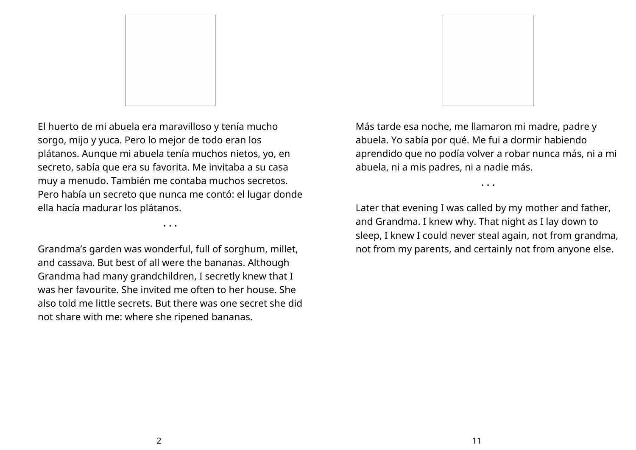

El huerto de mi abuela era maravilloso y tenía mucho sorgo, mijo y yuca. Pero lo mejor de todo eran los plátanos. Aunque mi abuela tenía muchos nietos, yo, en secreto, sabía que era su favorita. Me invitaba a su casa muy a menudo. También me contaba muchos secretos. Pero había un secreto que nunca me contó: el lugar donde ella hacía madurar los plátanos.

Grandma's garden was wonderful, full of sorghum, millet, and cassava. But best of all were the bananas. Although Grandma had many grandchildren, I secretly knew that I was her favourite. She invited me often to her house. She also told me little secrets. But there was one secret she did not share with me: where she ripened bananas.

• • •



Más tarde esa noche, me llamaron mi madre, padre y abuela. Yo sabía por qué. Me fui a dormir habiendo aprendido que no podía volver a robar nunca más, ni a mi abuela, ni a mis padres, ni a nadie más.

• • •

Later that evening I was called by my mother and father, and Grandma. I knew why. That night as I lay down to sleep, I knew I could never steal again, not from grandma, not from my parents, and certainly not from anyone else.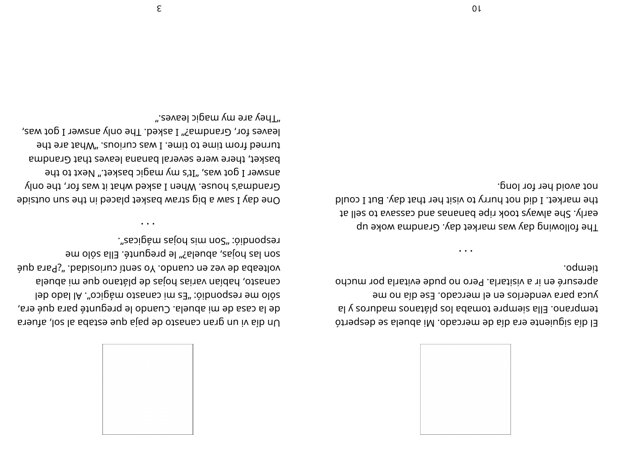

tiempo. apresuré en ir a visitarla. Pero no pude evitarla por mucho yuca para venderlos en el mercado. Ese día no me temprano. Ella siempre tomaba los plátanos vonbarros y la El día siguiente era día de mercado. Mi abuela se despertó

not avoid her for long. the market. I did not hurry to visit her that day. But I could to lles of avays took ripe bananas and cassava to sell at The following day was market day. Grandma woke up

".e9vsəl ɔipɕm ɣm əาɕ ɣənT leaves for, Grandma?" I asked. The only answer I got was, turned from time to time. I was curious. "What are the basket, there were several banana leaves that Grandma answer I got was, "It's my magic basket." Next to the Grandma's house. When I asked what it was for, the only One day I saw a big straw basket placed in the sun outside

bup sangs". babizoinus itnes oY .obnaus ne sev eb adaetlov

de la casa de mi abuela. Cuando le pregunté para qué era,

Un dia vi un gran canasto de paja que estaba al sol, afuera

sleuds im eup onstalq eb zejon zeinsv naidsn ,otzsnas

leb obsl IA ."opigàm otzanas im est :òibnoqes em olòs

respondes". "Son mis hojas mągicas".

son las hojas, abuela?" le pregunté. Ella sólo me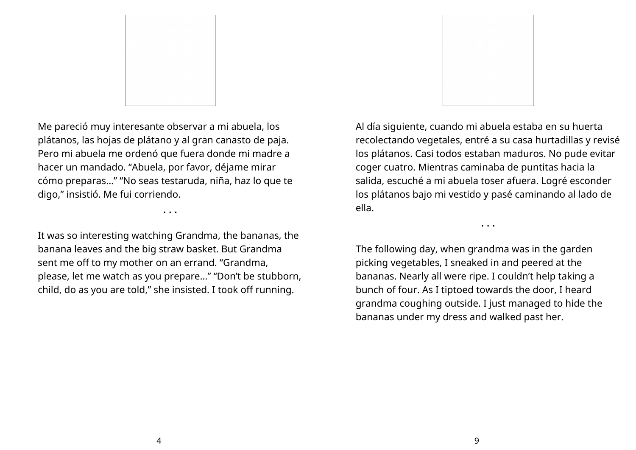

Me pareció muy interesante observar a mi abuela, los plátanos, las hojas de plátano y al gran canasto de paja. Pero mi abuela me ordenó que fuera donde mi madre a hacer un mandado. "Abuela, por favor, déjame mirar cómo preparas…" "No seas testaruda, niña, haz lo que te digo," insistió. Me fui corriendo.

• • •

It was so interesting watching Grandma, the bananas, the banana leaves and the big straw basket. But Grandma sent me off to my mother on an errand. "Grandma, please, let me watch as you prepare…" "Don't be stubborn, child, do as you are told," she insisted. I took off running.



Al día siguiente, cuando mi abuela estaba en su huerta recolectando vegetales, entré a su casa hurtadillas y revisé los plátanos. Casi todos estaban maduros. No pude evitar coger cuatro. Mientras caminaba de puntitas hacia la salida, escuché a mi abuela toser afuera. Logré esconder los plátanos bajo mi vestido y pasé caminando al lado de ella.

• • •

The following day, when grandma was in the garden picking vegetables, I sneaked in and peered at the bananas. Nearly all were ripe. I couldn't help taking a bunch of four. As I tiptoed towards the door, I heard grandma coughing outside. I just managed to hide the bananas under my dress and walked past her.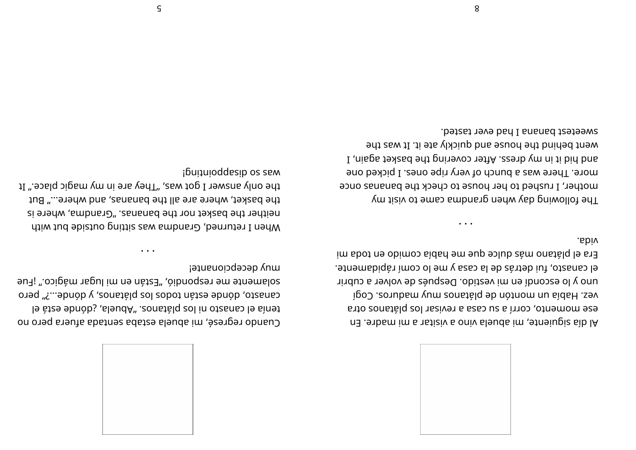

.abiv Era el plátano más dulce que me había comido en toda mi el canasto, fui detrás de la casa y me lo comi rápidamente. uno y lo escondí en mi vestido. Después de volver a cubrir igo couplem yum zonstalg bb notiom in addeH .sev ese momento, corri a su casa a revisar los plátanos otra nd .exbam im a natiziv a oniv sleuda im ,etneiupiz sib lA

 $\bullet$   $\bullet$   $\bullet$ 

sweetest banana I had ever tasted. went behind the house and quickly ate it. It was the I , nisps texted edt priver covering the basket again, I more. There was a bunch of very ripe ones. I picked one mother, I rushed to her house to check the bananas once The following day when grandna came to visit my

muy decebciouante! sulamente me respondió, "Están en mi lugar mágico." ¡Fue causacy donde estan todos los platanos, y dónde....?" pero le àte ebnòb; aleudA" .zonstàlq zol in otzanas le sinet Cuando regrese, mi abuela estaba sentada afuera pero no

pulational possessions is the only answer I got was, "They are in my magic place." It the basket, where are all the bananas, and where..." But neither the basket nor the bananas. "Grandma, where is when I returned, Grandma was sitting outside but with